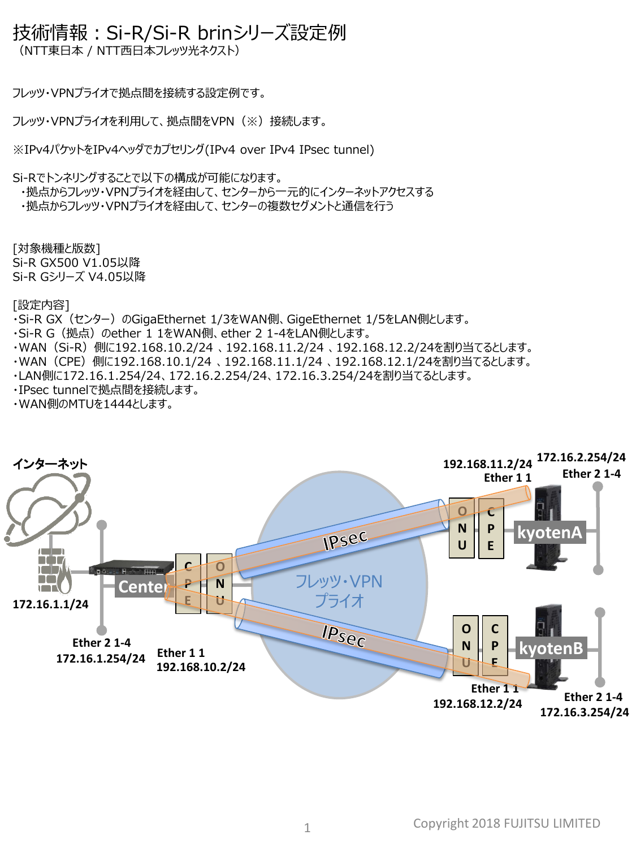## 技術情報:Si-R/Si-R brinシリーズ設定例

(NTT東日本 / NTT西日本フレッツ光ネクスト)

フレッツ・VPNプライオで拠点間を接続する設定例です。

フレッツ・VPNプライオを利用して、拠点間をVPN(※)接続します。

※IPv4パケットをIPv4ヘッダでカプセリング(IPv4 over IPv4 IPsec tunnel)

Si-Rでトンネリングすることで以下の構成が可能になります。

・拠点からフレッツ・VPNプライオを経由して、センターから一元的にインターネットアクセスする ・拠点からフレッツ・VPNプライオを経由して、センターの複数セグメントと通信を行う

[対象機種と版数] Si-R GX500 V1.05以降 Si-R Gシリーズ V4.05以降

[設定内容]

- ·Si-R GX (センター) のGigaEthernet 1/3をWAN側、GigeEthernet 1/5をLAN側とします。
- ・Si-R G (拠点) のether 1 1をWAN側、ether 2 1-4をLAN側とします。
- ・WAN(Si-R)側に192.168.10.2/24 、192.168.11.2/24 、192.168.12.2/24を割り当てるとします。
- ・WAN(CPE)側に192.168.10.1/24 、192.168.11.1/24 、192.168.12.1/24を割り当てるとします。
- ・LAN側に172.16.1.254/24、172.16.2.254/24、172.16.3.254/24を割り当てるとします。
- ・IPsec tunnelで拠点間を接続します。
- ・WAN側のMTUを1444とします。

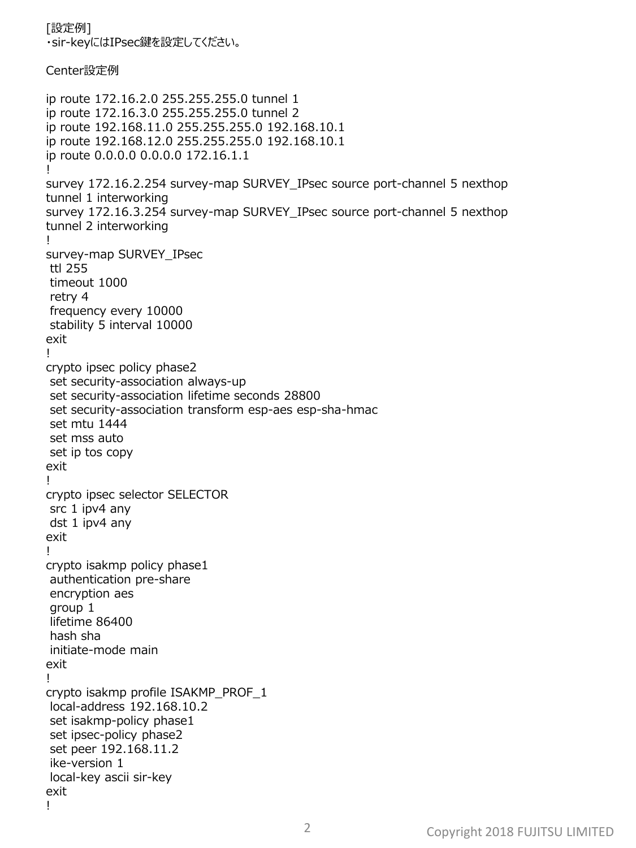[設定例] ・sir-keyにはIPsec鍵を設定してください。

## Center設定例

ip route 172.16.2.0 255.255.255.0 tunnel 1 ip route 172.16.3.0 255.255.255.0 tunnel 2 ip route 192.168.11.0 255.255.255.0 192.168.10.1 ip route 192.168.12.0 255.255.255.0 192.168.10.1 ip route 0.0.0.0 0.0.0.0 172.16.1.1 ! survey 172.16.2.254 survey-map SURVEY\_IPsec source port-channel 5 nexthop tunnel 1 interworking survey 172.16.3.254 survey-map SURVEY\_IPsec source port-channel 5 nexthop tunnel 2 interworking ! survey-map SURVEY\_IPsec ttl 255 timeout 1000 retry 4 frequency every 10000 stability 5 interval 10000 exit ! crypto ipsec policy phase2 set security-association always-up set security-association lifetime seconds 28800 set security-association transform esp-aes esp-sha-hmac set mtu 1444 set mss auto set ip tos copy exit ! crypto ipsec selector SELECTOR src 1 ipv4 any dst 1 ipv4 any exit ! crypto isakmp policy phase1 authentication pre-share encryption aes group 1 lifetime 86400 hash sha initiate-mode main exit ! crypto isakmp profile ISAKMP\_PROF\_1 local-address 192.168.10.2 set isakmp-policy phase1 set ipsec-policy phase2 set peer 192.168.11.2 ike-version 1 local-key ascii sir-key exit !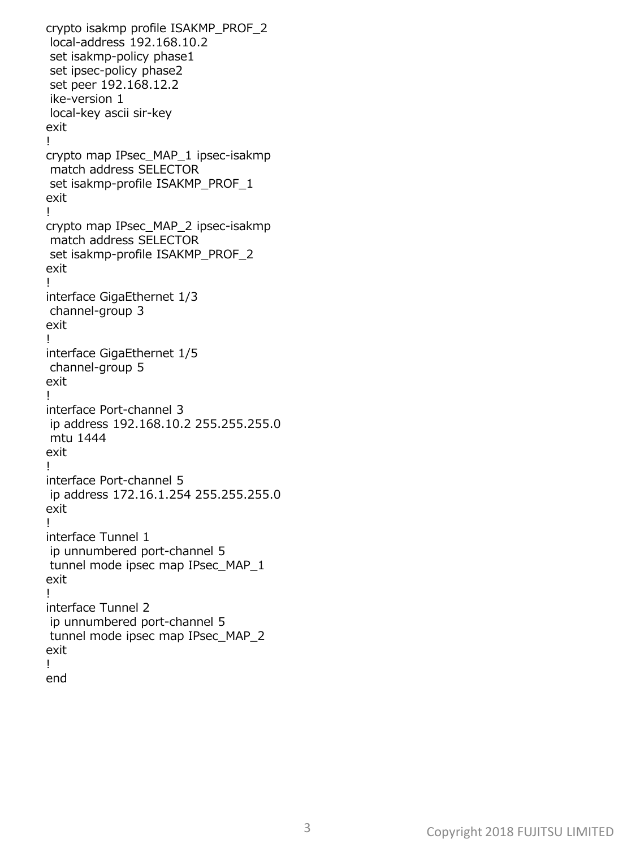crypto isakmp profile ISAKMP\_PROF\_2 local-address 192.168.10.2 set isakmp-policy phase1 set ipsec-policy phase2 set peer 192.168.12.2 ike-version 1 local-key ascii sir-key exit ! crypto map IPsec\_MAP\_1 ipsec-isakmp match address SELECTOR set isakmp-profile ISAKMP\_PROF\_1 exit ! crypto map IPsec\_MAP\_2 ipsec-isakmp match address SELECTOR set isakmp-profile ISAKMP\_PROF\_2 exit ! interface GigaEthernet 1/3 channel-group 3 exit ! interface GigaEthernet 1/5 channel-group 5 exit ! interface Port-channel 3 ip address 192.168.10.2 255.255.255.0 mtu 1444 exit ! interface Port-channel 5 ip address 172.16.1.254 255.255.255.0 exit ! interface Tunnel 1 ip unnumbered port-channel 5 tunnel mode ipsec map IPsec\_MAP\_1 exit ! interface Tunnel 2 ip unnumbered port-channel 5 tunnel mode ipsec map IPsec\_MAP\_2 exit ! end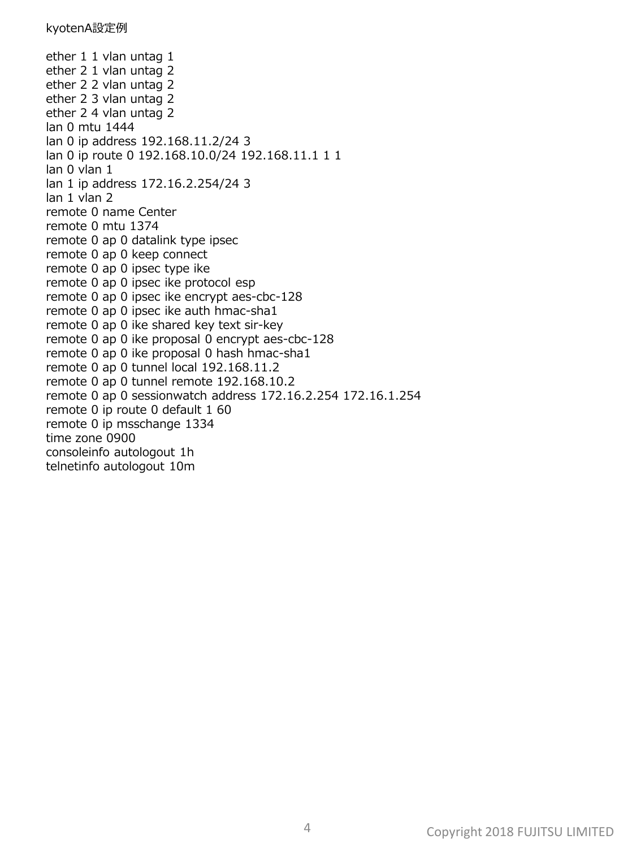ether 1 1 vlan untag 1 ether 2 1 vlan untag 2 ether 2 2 vlan untag 2 ether 2 3 vlan untag 2 ether 2 4 vlan untag 2 lan 0 mtu 1444 lan 0 ip address 192.168.11.2/24 3 lan 0 ip route 0 192.168.10.0/24 192.168.11.1 1 1 lan 0 vlan 1 lan 1 ip address 172.16.2.254/24 3 lan 1 vlan 2 remote 0 name Center remote 0 mtu 1374 remote 0 ap 0 datalink type ipsec remote 0 ap 0 keep connect remote 0 ap 0 ipsec type ike remote 0 ap 0 ipsec ike protocol esp remote 0 ap 0 ipsec ike encrypt aes-cbc-128 remote 0 ap 0 ipsec ike auth hmac-sha1 remote 0 ap 0 ike shared key text sir-key remote 0 ap 0 ike proposal 0 encrypt aes-cbc-128 remote 0 ap 0 ike proposal 0 hash hmac-sha1 remote 0 ap 0 tunnel local 192.168.11.2 remote 0 ap 0 tunnel remote 192.168.10.2 remote 0 ap 0 sessionwatch address 172.16.2.254 172.16.1.254 remote 0 ip route 0 default 1 60 remote 0 ip msschange 1334 time zone 0900 consoleinfo autologout 1h telnetinfo autologout 10m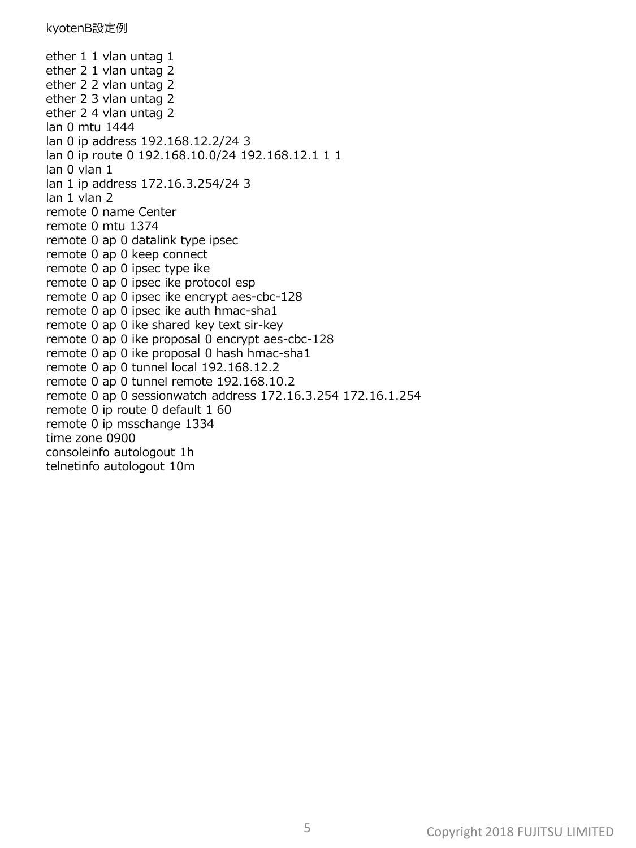ether 1 1 vlan untag 1 ether 2 1 vlan untag 2 ether 2 2 vlan untag 2 ether 2 3 vlan untag 2 ether 2 4 vlan untag 2 lan 0 mtu 1444 lan 0 ip address 192.168.12.2/24 3 lan 0 ip route 0 192.168.10.0/24 192.168.12.1 1 1 lan 0 vlan 1 lan 1 ip address 172.16.3.254/24 3 lan 1 vlan 2 remote 0 name Center remote 0 mtu 1374 remote 0 ap 0 datalink type ipsec remote 0 ap 0 keep connect remote 0 ap 0 ipsec type ike remote 0 ap 0 ipsec ike protocol esp remote 0 ap 0 ipsec ike encrypt aes-cbc-128 remote 0 ap 0 ipsec ike auth hmac-sha1 remote 0 ap 0 ike shared key text sir-key remote 0 ap 0 ike proposal 0 encrypt aes-cbc-128 remote 0 ap 0 ike proposal 0 hash hmac-sha1 remote 0 ap 0 tunnel local 192.168.12.2 remote 0 ap 0 tunnel remote 192.168.10.2 remote 0 ap 0 sessionwatch address 172.16.3.254 172.16.1.254 remote 0 ip route 0 default 1 60 remote 0 ip msschange 1334 time zone 0900 consoleinfo autologout 1h telnetinfo autologout 10m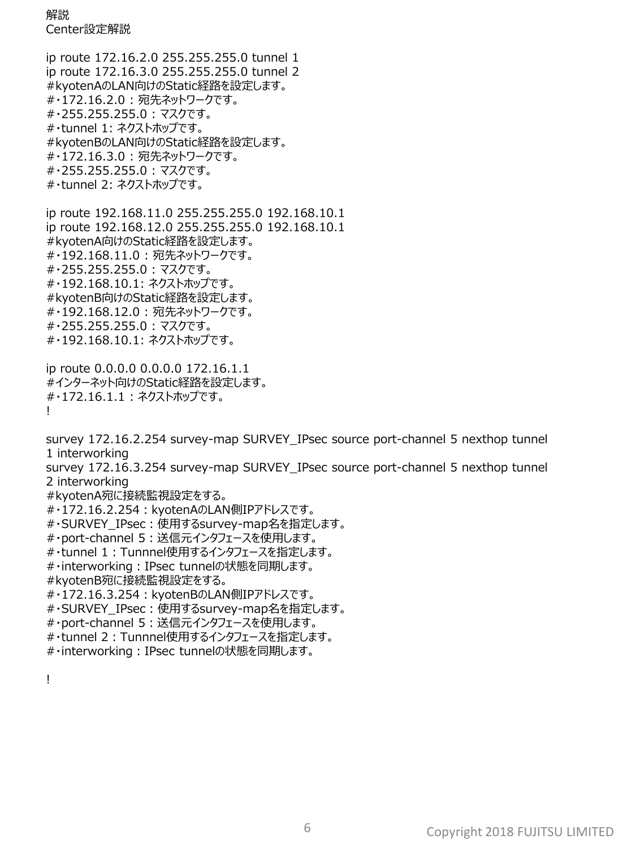解説 Center設定解説

ip route 172.16.2.0 255.255.255.0 tunnel 1 ip route 172.16.3.0 255.255.255.0 tunnel 2 #kyotenAのLAN向けのStatic経路を設定します。 #・172.16.2.0 : 宛先ネットワークです。 #・255.255.255.0 : マスクです。 #・tunnel 1: ネクストホップです。 #kyotenBのLAN向けのStatic経路を設定します。 #・172.16.3.0 : 宛先ネットワークです。 #・255.255.255.0 : マスクです。 #・tunnel 2: ネクストホップです。

ip route 192.168.11.0 255.255.255.0 192.168.10.1 ip route 192.168.12.0 255.255.255.0 192.168.10.1 #kyotenA向けのStatic経路を設定します。 #・192.168.11.0 : 宛先ネットワークです。 #・255.255.255.0 : マスクです。 #・192.168.10.1: ネクストホップです。 #kyotenB向けのStatic経路を設定します。 #・192.168.12.0 : 宛先ネットワークです。 #・255.255.255.0 : マスクです。 #・192.168.10.1: ネクストホップです。

ip route 0.0.0.0 0.0.0.0 172.16.1.1 #インターネット向けのStatic経路を設定します。 #・172.16.1.1 : ネクストホップです。 !

survey 172.16.2.254 survey-map SURVEY\_IPsec source port-channel 5 nexthop tunnel 1 interworking

survey 172.16.3.254 survey-map SURVEY\_IPsec source port-channel 5 nexthop tunnel 2 interworking

#kyotenA宛に接続監視設定をする。

- #・172.16.2.254: kyotenAのLAN側IPアドレスです。
- #・SURVEY\_IPsec:使用するsurvey-map名を指定します。
- #・port-channel 5:送信元インタフェースを使用します。
- #・tunnel 1:Tunnnel使用するインタフェースを指定します。
- #・interworking:IPsec tunnelの状態を同期します。
- #kyotenB宛に接続監視設定をする。
- #・172.16.3.254:kyotenBのLAN側IPアドレスです。
- #・SURVEY\_IPsec:使用するsurvey-map名を指定します。
- #・port-channel 5:送信元インタフェースを使用します。
- #・tunnel 2:Tunnnel使用するインタフェースを指定します。
- #・interworking:IPsec tunnelの状態を同期します。

!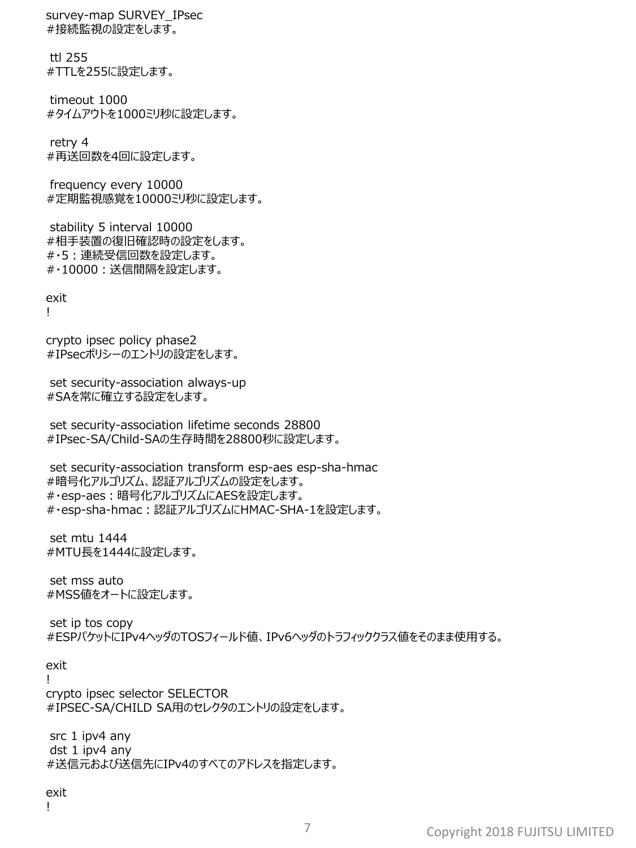survey-map SURVEY\_IPsec #接続監視の設定をします。

ttl 255 #TTLを255に設定します。

timeout 1000 #タイムアウトを1000ミリ秒に設定します。

retry 4 #再送回数を4回に設定します。

frequency every 10000 #定期監視感覚を10000ミリ秒に設定します。

stability 5 interval 10000 #相手装置の復旧確認時の設定をします。 #・5:連続受信回数を設定します。 #・10000:送信間隔を設定します。

exit

!

crypto ipsec policy phase2 #IPsecポリシーのエントリの設定をします。

set security-association always-up #SAを常に確立する設定をします。

set security-association lifetime seconds 28800 #IPsec-SA/Child-SAの生存時間を28800秒に設定します。

set security-association transform esp-aes esp-sha-hmac #暗号化アルゴリズム、認証アルゴリズムの設定をします。 #・esp-aes:暗号化アルゴリズムにAESを設定します。 #・esp-sha-hmac:認証アルゴリズムにHMAC-SHA-1を設定します。

set mtu 1444 #MTU長を1444に設定します。

set mss auto #MSS値をオートに設定します。

set ip tos copy #ESPパケットにIPv4ヘッダのTOSフィールド値、IPv6ヘッダのトラフィッククラス値をそのまま使用する。

exit

!

crypto ipsec selector SELECTOR #IPSEC-SA/CHILD SA用のセレクタのエントリの設定をします。

src 1 ipv4 any dst 1 ipv4 any #送信元および送信先にIPv4のすべてのアドレスを指定します。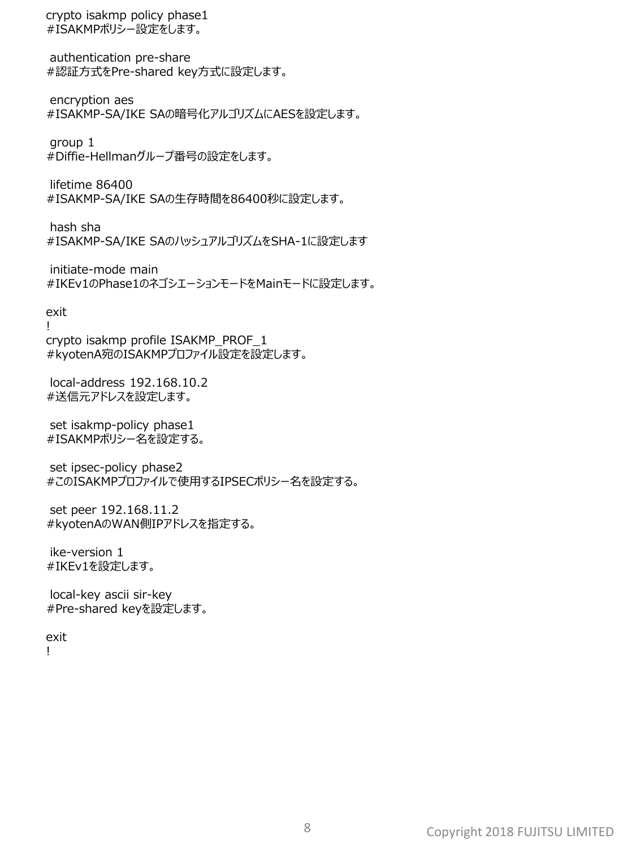crypto isakmp policy phase1 #ISAKMPポリシー設定をします。

authentication pre-share #認証方式をPre-shared key方式に設定します。

encryption aes #ISAKMP-SA/IKE SAの暗号化アルゴリズムにAESを設定します。

group 1 #Diffie-Hellmanグループ番号の設定をします。

lifetime 86400 #ISAKMP-SA/IKE SAの生存時間を86400秒に設定します。

hash sha #ISAKMP-SA/IKE SAのハッシュアルゴリズムをSHA-1に設定します

initiate-mode main #IKEv1のPhase1のネゴシエーションモードをMainモードに設定します。

exit

! crypto isakmp profile ISAKMP\_PROF\_1 #kyotenA宛のISAKMPプロファイル設定を設定します。

local-address 192.168.10.2 #送信元アドレスを設定します。

set isakmp-policy phase1 #ISAKMPポリシー名を設定する。

set ipsec-policy phase2 #このISAKMPプロファイルで使用するIPSECポリシー名を設定する。

set peer 192.168.11.2 #kyotenAのWAN側IPアドレスを指定する。

ike-version 1 #IKEv1を設定します。

local-key ascii sir-key #Pre-shared keyを設定します。

exit

!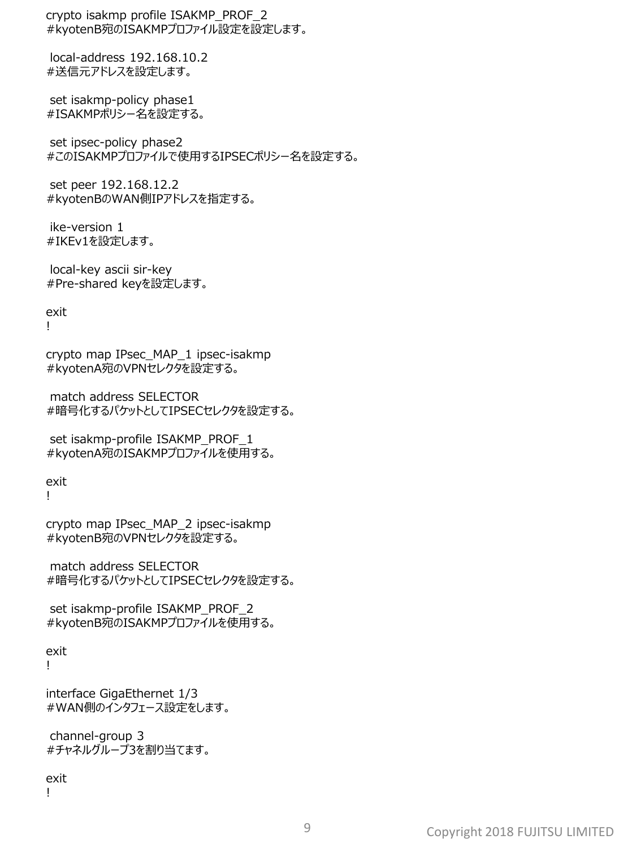crypto isakmp profile ISAKMP\_PROF\_2 #kyotenB宛のISAKMPプロファイル設定を設定します。

local-address 192.168.10.2 #送信元アドレスを設定します。

set isakmp-policy phase1 #ISAKMPポリシー名を設定する。

set ipsec-policy phase2 #このISAKMPプロファイルで使用するIPSECポリシー名を設定する。

set peer 192.168.12.2 #kyotenBのWAN側IPアドレスを指定する。

ike-version 1 #IKEv1を設定します。

local-key ascii sir-key #Pre-shared keyを設定します。

```
exit
!
```
crypto map IPsec\_MAP\_1 ipsec-isakmp #kyotenA宛のVPNセレクタを設定する。

match address SELECTOR #暗号化するパケットとしてIPSECセレクタを設定する。

set isakmp-profile ISAKMP\_PROF\_1 #kyotenA宛のISAKMPプロファイルを使用する。

exit

!

crypto map IPsec\_MAP\_2 ipsec-isakmp #kyotenB宛のVPNセレクタを設定する。

match address SELECTOR #暗号化するパケットとしてIPSECセレクタを設定する。

set isakmp-profile ISAKMP\_PROF\_2 #kyotenB宛のISAKMPプロファイルを使用する。

exit !

interface GigaEthernet 1/3 #WAN側のインタフェース設定をします。

channel-group 3 #チャネルグループ3を割り当てます。

exit !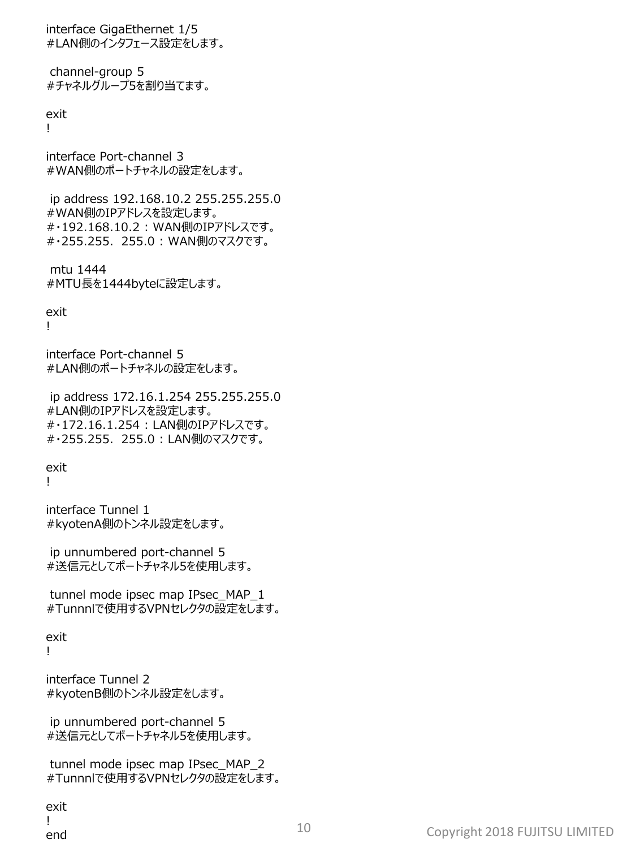interface GigaEthernet 1/5 #LAN側のインタフェース設定をします。

channel-group 5 #チャネルグループ5を割り当てます。

exit !

interface Port-channel 3 #WAN側のポートチャネルの設定をします。

ip address 192.168.10.2 255.255.255.0 #WAN側のIPアドレスを設定します。 #・192.168.10.2 : WAN側のIPアドレスです。 #・255.255.255.0 : WAN側のマスクです。

mtu 1444 #MTU長を1444byteに設定します。

exit !

interface Port-channel 5 #LAN側のポートチャネルの設定をします。

ip address 172.16.1.254 255.255.255.0 #LAN側のIPアドレスを設定します。 #・172.16.1.254 : LAN側のIPアドレスです。 #・255.255.255.0 : LAN側のマスクです。

exit !

interface Tunnel 1 #kyotenA側のトンネル設定をします。

ip unnumbered port-channel 5 #送信元としてポートチャネル5を使用します。

tunnel mode ipsec map IPsec\_MAP\_1 #Tunnnlで使用するVPNセレクタの設定をします。

exit

!

interface Tunnel 2 #kyotenB側のトンネル設定をします。

ip unnumbered port-channel 5 #送信元としてポートチャネル5を使用します。

tunnel mode ipsec map IPsec\_MAP\_2 #Tunnnlで使用するVPNセレクタの設定をします。

exit !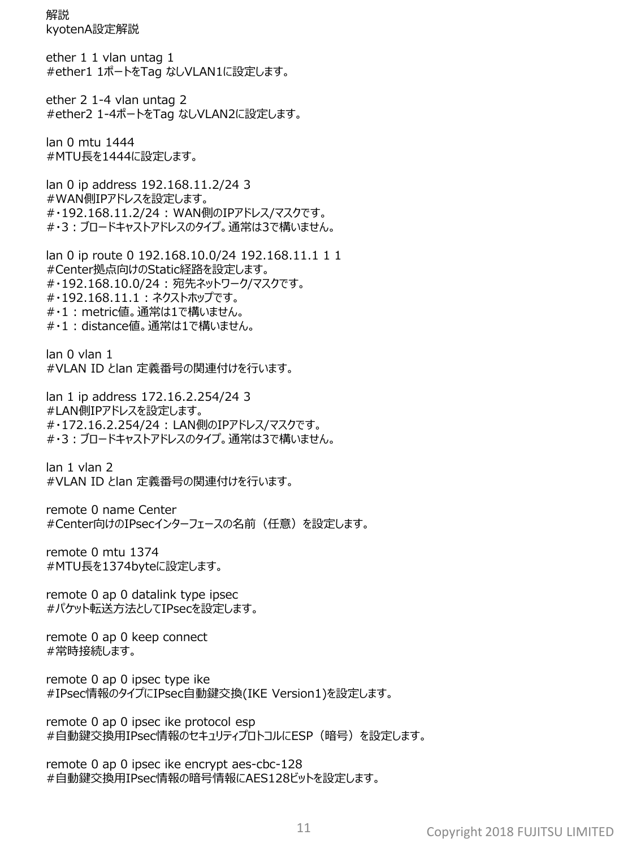解説 kyotenA設定解説

ether 1 1 vlan untag 1 #ether1 1ポートをTag なしVLAN1に設定します。

ether 2 1-4 vlan untag 2 #ether2 1-4ポートをTag なしVLAN2に設定します。

lan 0 mtu 1444 #MTU長を1444に設定します。

lan 0 ip address 192.168.11.2/24 3 #WAN側IPアドレスを設定します。 #・192.168.11.2/24 : WAN側のIPアドレス/マスクです。 #・3:ブロードキャストアドレスのタイプ。通常は3で構いません。

lan 0 ip route 0 192.168.10.0/24 192.168.11.1 1 1 #Center拠点向けのStatic経路を設定します。 #・192.168.10.0/24 : 宛先ネットワーク/マスクです。 #・192.168.11.1 : ネクストホップです。 #・1 : metric値。通常は1で構いません。 #・1 : distance値。通常は1で構いません。

lan 0 vlan 1 #VLAN ID とlan 定義番号の関連付けを行います。

lan 1 ip address 172.16.2.254/24 3 #LAN側IPアドレスを設定します。 #・172.16.2.254/24 : LAN側のIPアドレス/マスクです。 #・3:ブロードキャストアドレスのタイプ。通常は3で構いません。

lan 1 vlan 2 #VLAN ID とlan 定義番号の関連付けを行います。

remote 0 name Center #Center向けのIPsecインターフェースの名前 (任意) を設定します。

remote 0 mtu 1374 #MTU長を1374byteに設定します。

remote 0 ap 0 datalink type ipsec #パケット転送方法としてIPsecを設定します。

remote 0 ap 0 keep connect #常時接続します。

remote 0 ap 0 ipsec type ike #IPsec情報のタイプにIPsec自動鍵交換(IKE Version1)を設定します。

remote 0 ap 0 ipsec ike protocol esp #自動鍵交換用IPsec情報のセキュリティプロトコルにESP(暗号)を設定します。

remote 0 ap 0 ipsec ike encrypt aes-cbc-128 #自動鍵交換用IPsec情報の暗号情報にAES128ビットを設定します。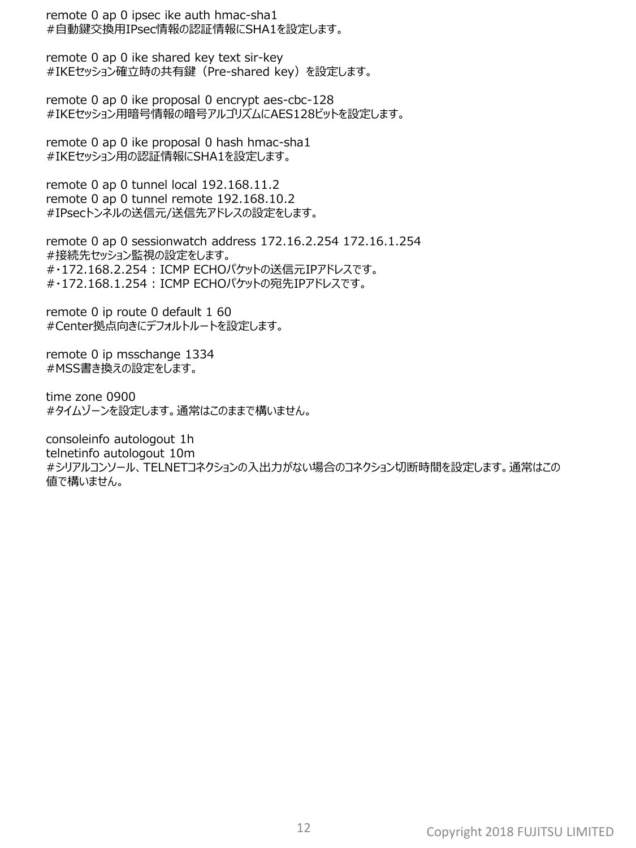remote 0 ap 0 ipsec ike auth hmac-sha1 #自動鍵交換用IPsec情報の認証情報にSHA1を設定します。

remote 0 ap 0 ike shared key text sir-key #IKEセッション確立時の共有鍵(Pre-shared key)を設定します。

remote 0 ap 0 ike proposal 0 encrypt aes-cbc-128 #IKEセッション用暗号情報の暗号アルゴリズムにAES128ビットを設定します。

remote 0 ap 0 ike proposal 0 hash hmac-sha1 #IKEセッション用の認証情報にSHA1を設定します。

remote 0 ap 0 tunnel local 192.168.11.2 remote 0 ap 0 tunnel remote 192.168.10.2 #IPsecトンネルの送信元/送信先アドレスの設定をします。

remote 0 ap 0 sessionwatch address 172.16.2.254 172.16.1.254 #接続先セッション監視の設定をします。 #・172.168.2.254 : ICMP ECHOパケットの送信元IPアドレスです。 #・172.168.1.254 : ICMP ECHOパケットの宛先IPアドレスです。

remote 0 ip route 0 default 1 60 #Center拠点向きにデフォルトルートを設定します。

remote 0 ip msschange 1334 #MSS書き換えの設定をします。

time zone 0900 #タイムゾーンを設定します。通常はこのままで構いません。

consoleinfo autologout 1h telnetinfo autologout 10m #シリアルコンソール、TELNETコネクションの入出力がない場合のコネクション切断時間を設定します。通常はこの 値で構いません。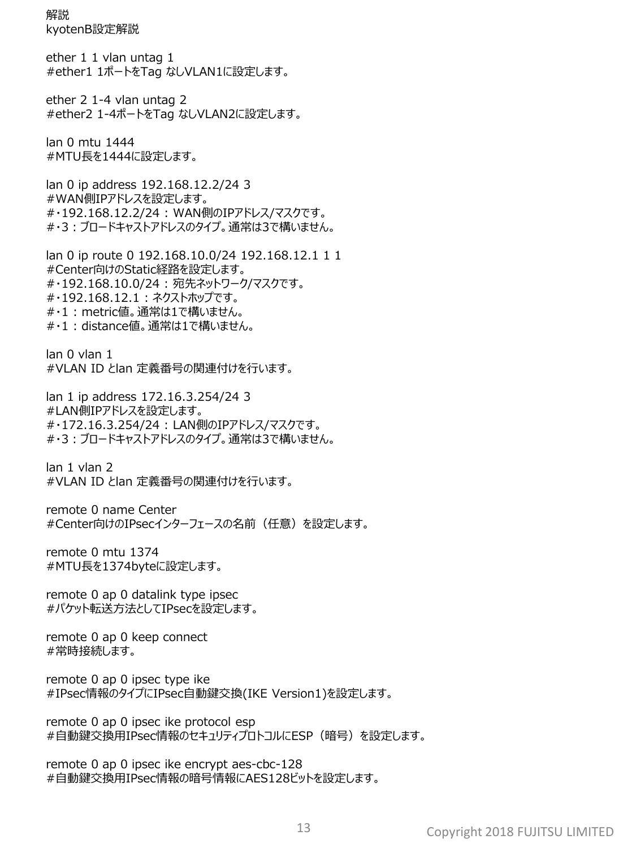解説 kyotenB設定解説

ether 1 1 vlan untag 1 #ether1 1ポートをTag なしVLAN1に設定します。

ether 2 1-4 vlan untag 2 #ether2 1-4ポートをTag なしVLAN2に設定します。

lan 0 mtu 1444 #MTU長を1444に設定します。

lan 0 ip address 192.168.12.2/24 3 #WAN側IPアドレスを設定します。 #・192.168.12.2/24 : WAN側のIPアドレス/マスクです。 #・3:ブロードキャストアドレスのタイプ。通常は3で構いません。

lan 0 ip route 0 192.168.10.0/24 192.168.12.1 1 1 #Center向けのStatic経路を設定します。 #・192.168.10.0/24 : 宛先ネットワーク/マスクです。 #・192.168.12.1 : ネクストホップです。 #・1 : metric値。通常は1で構いません。 #・1 : distance値。通常は1で構いません。

lan 0 vlan 1 #VLAN ID とlan 定義番号の関連付けを行います。

lan 1 ip address 172.16.3.254/24 3 #LAN側IPアドレスを設定します。 #・172.16.3.254/24 : LAN側のIPアドレス/マスクです。 #・3:ブロードキャストアドレスのタイプ。通常は3で構いません。

lan 1 vlan 2 #VLAN ID とlan 定義番号の関連付けを行います。

remote 0 name Center #Center向けのIPsecインターフェースの名前 (任意) を設定します。

remote 0 mtu 1374 #MTU長を1374byteに設定します。

remote 0 ap 0 datalink type ipsec #パケット転送方法としてIPsecを設定します。

remote 0 ap 0 keep connect #常時接続します。

remote 0 ap 0 ipsec type ike #IPsec情報のタイプにIPsec自動鍵交換(IKE Version1)を設定します。

remote 0 ap 0 ipsec ike protocol esp #自動鍵交換用IPsec情報のセキュリティプロトコルにESP(暗号)を設定します。

remote 0 ap 0 ipsec ike encrypt aes-cbc-128 #自動鍵交換用IPsec情報の暗号情報にAES128ビットを設定します。